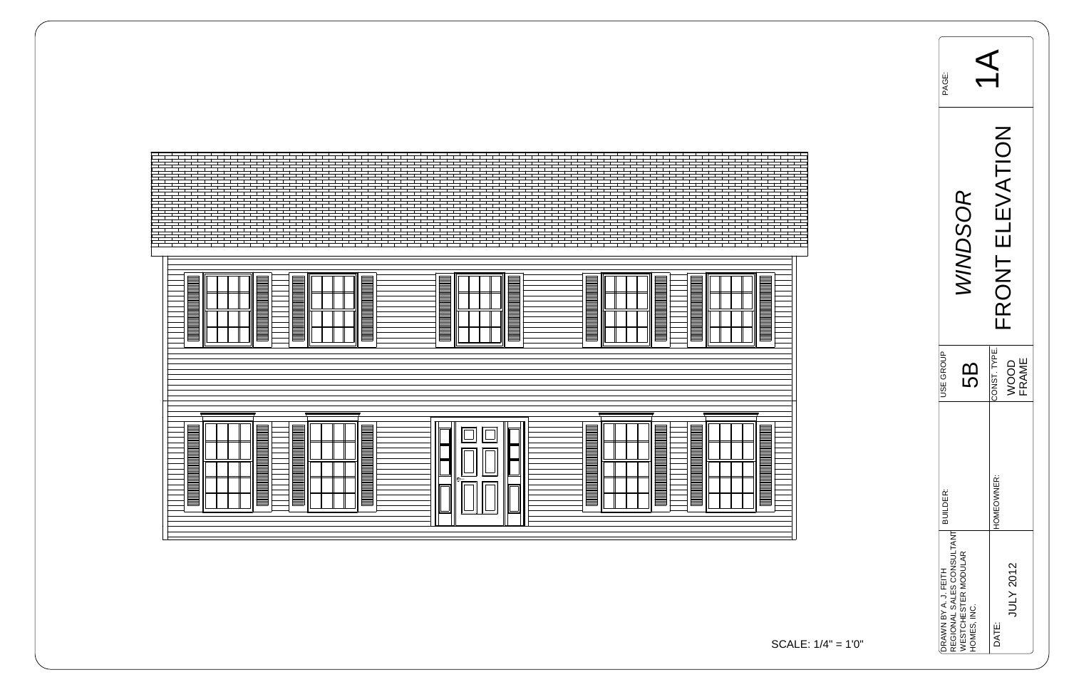| <u> Bilimini mahalli mahalli mahalli mahalli m</u><br><u> 1999 - Andrew Maria Barbara, Amerikaansk ferske politiker (d. 1989)</u><br>▤<br>THE REAL PROPERTY AND<br><u>Esta</u><br><b>Experts</b> | <u> 1999 - Prima Maria Maria Maria Maria Maria Maria Maria Maria Maria Maria Maria Maria Maria Maria Maria Maria M</u><br>■<br><b>TERRITORIAL PROGRAMMANA EN L'ANGUERITA EN L'ANGUERITA EN L'ANGUERITA EN L'ANGUERITA EN L'ANGUERITA EN L'ANGUE</b><br><u> Bilimini militari mahallari ma'lumot</u><br>$\equiv$<br><b>The Contract of the Contract of the Contract of the Contract of the Contract of the Contract of the Contract o</b> |              |  |
|--------------------------------------------------------------------------------------------------------------------------------------------------------------------------------------------------|------------------------------------------------------------------------------------------------------------------------------------------------------------------------------------------------------------------------------------------------------------------------------------------------------------------------------------------------------------------------------------------------------------------------------------------|--------------|--|
| E<br><u>For the set of the set of the set of the set of the set of the set of the set of the set of the set of the se</u>                                                                        | <b>TERRA PERSONAL PROPERTY AND ANNO PERSONAL PROPERTY AND ANNO PERSONAL PROPERTY PROPERTY.</b><br>E<br><b>THE SEARCH SEARCH</b><br><u>s an air</u>                                                                                                                                                                                                                                                                                       | ┪┝╴┪┥╸┪┙┧┙┪┙ |  |

| FRONT ELEVATION<br>WINDSOR<br>CONST. TYPE.<br>WOOD<br>FRAME<br>5B |                                                   | PAGE:                              | $\Delta$                  |
|-------------------------------------------------------------------|---------------------------------------------------|------------------------------------|---------------------------|
|                                                                   |                                                   |                                    |                           |
|                                                                   | USE GROUP                                         |                                    |                           |
|                                                                   | DRAWN BY A. J. FEITH<br>REGIONAL SALES CONSULTANT | WESTCHESTER MODULAR<br>HOMES, INC. | <b>JULY 2012</b><br>DATE: |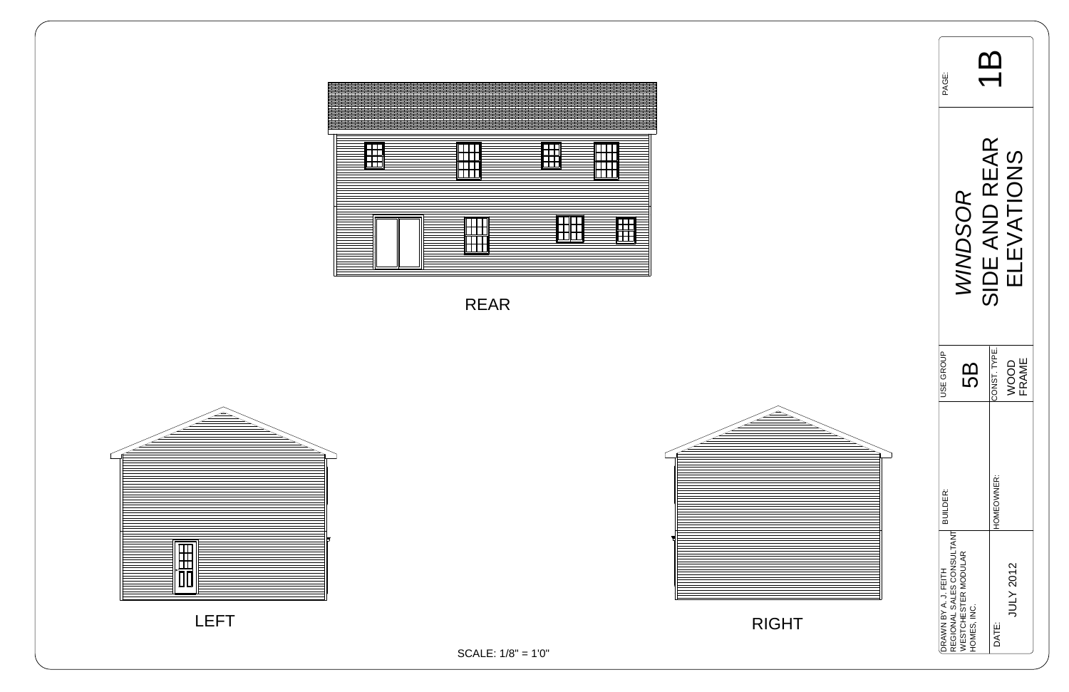| <b>PAGE:</b>         |                                                                               |               |                     |
|----------------------|-------------------------------------------------------------------------------|---------------|---------------------|
|                      | <b>INDSOR</b>                                                                 | SIDE AND REAR | <b>EVATIONS</b>     |
| USE GROUP            | 5                                                                             | CONST. TYPE.  | <b>FRAME</b><br>goo |
| <b>BUILDER:</b>      |                                                                               | HOMEOWNER:    |                     |
| DRAWN BY A. J. FEITH | REGIONAL SALES CONSULTANT<br><b><i>NESTCHESTER MODULAR</i></b><br>HOMES, INC. | DATE:         | JULY 2012           |





SCALE: 1/8" = 1'0"

RIGHT





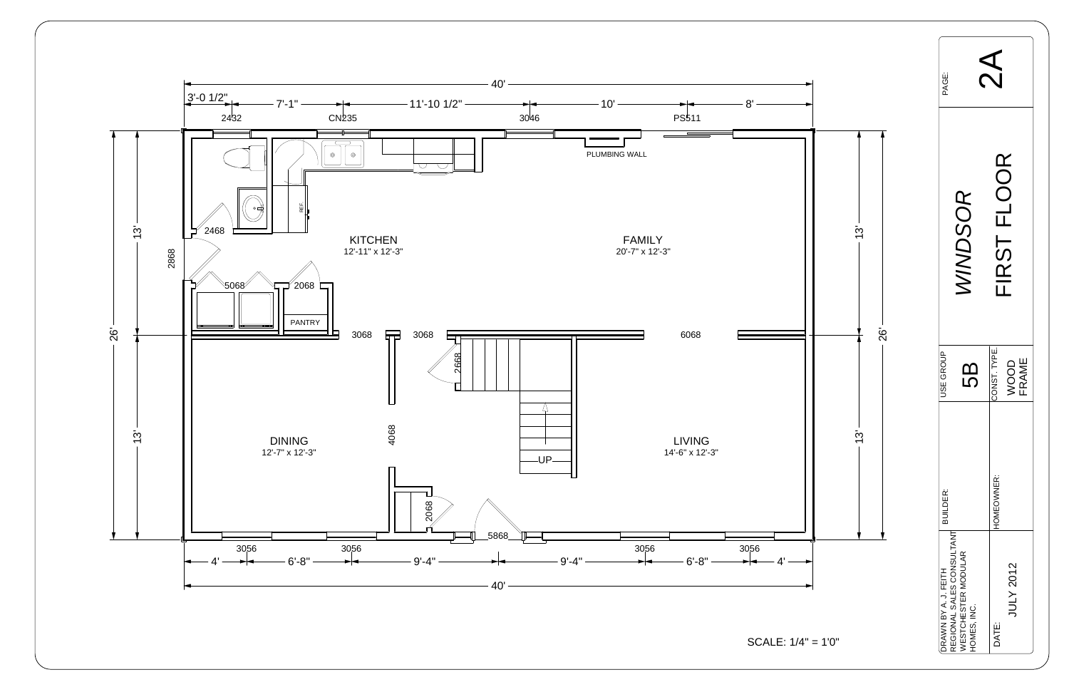